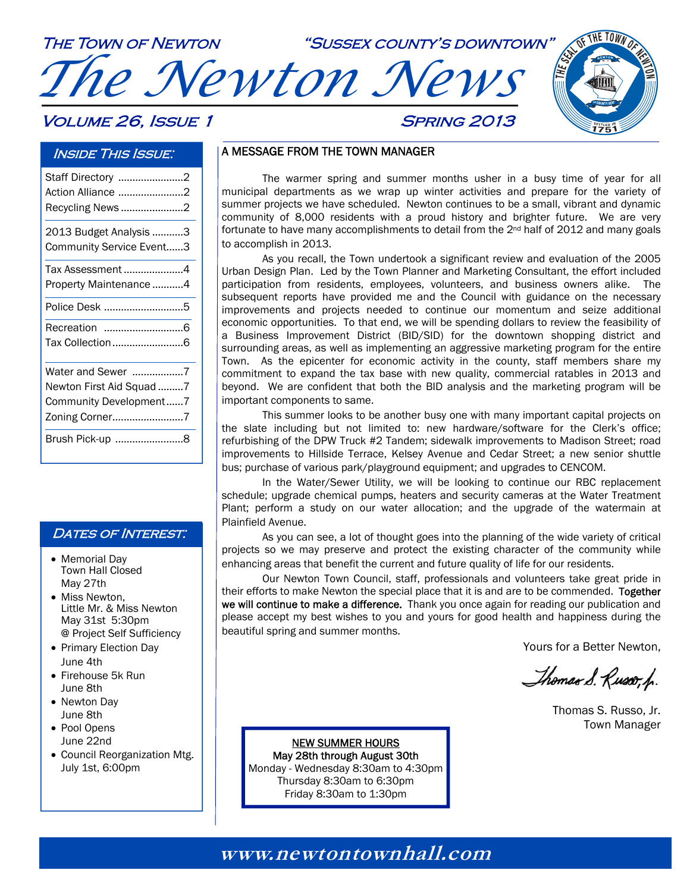

#### Inside This Issue:

| Staff Directory 2<br>Action Alliance 2<br>Recycling News 2                                |
|-------------------------------------------------------------------------------------------|
| 2013 Budget Analysis 3<br>Community Service Event3                                        |
| Tax Assessment 4<br>Property Maintenance 4                                                |
| Police Desk 5                                                                             |
| Recreation 6                                                                              |
| Water and Sewer 7<br>Newton First Aid Squad 7<br>Community Development7<br>Zoning Corner7 |
| Brush Pick-up 8                                                                           |

#### DATES OF INTEREST.

- Memorial Day Town Hall Closed May 27th
- Miss Newton. Little Mr. & Miss Newton May 31st 5:30pm @ Project Self Sufficiency
- Primary Election Day June 4th
- Firehouse 5k Run June 8th
- Newton Day June 8th
- Pool Opens June 22nd
- Council Reorganization Mtg. July 1st, 6:00pm

#### A MESSAGE FROM THE TOWN MANAGER

 The warmer spring and summer months usher in a busy time of year for all municipal departments as we wrap up winter activities and prepare for the variety of summer projects we have scheduled. Newton continues to be a small, vibrant and dynamic community of 8,000 residents with a proud history and brighter future. We are very fortunate to have many accomplishments to detail from the  $2^{nd}$  half of 2012 and many goals to accomplish in 2013.

 As you recall, the Town undertook a significant review and evaluation of the 2005 Urban Design Plan. Led by the Town Planner and Marketing Consultant, the effort included participation from residents, employees, volunteers, and business owners alike. The subsequent reports have provided me and the Council with guidance on the necessary improvements and projects needed to continue our momentum and seize additional economic opportunities. To that end, we will be spending dollars to review the feasibility of a Business Improvement District (BID/SID) for the downtown shopping district and surrounding areas, as well as implementing an aggressive marketing program for the entire Town. As the epicenter for economic activity in the county, staff members share my commitment to expand the tax base with new quality, commercial ratables in 2013 and beyond. We are confident that both the BID analysis and the marketing program will be important components to same.

 This summer looks to be another busy one with many important capital projects on the slate including but not limited to: new hardware/software for the Clerk's office; refurbishing of the DPW Truck #2 Tandem; sidewalk improvements to Madison Street; road improvements to Hillside Terrace, Kelsey Avenue and Cedar Street; a new senior shuttle bus; purchase of various park/playground equipment; and upgrades to CENCOM.

 In the Water/Sewer Utility, we will be looking to continue our RBC replacement schedule; upgrade chemical pumps, heaters and security cameras at the Water Treatment Plant; perform a study on our water allocation; and the upgrade of the watermain at Plainfield Avenue.

 As you can see, a lot of thought goes into the planning of the wide variety of critical projects so we may preserve and protect the existing character of the community while enhancing areas that benefit the current and future quality of life for our residents.

 Our Newton Town Council, staff, professionals and volunteers take great pride in their efforts to make Newton the special place that it is and are to be commended. Together we will continue to make a difference. Thank you once again for reading our publication and please accept my best wishes to you and yours for good health and happiness during the beautiful spring and summer months.

Yours for a Better Newton,

**1751**

Thomas S. Russo, h.

Thomas S. Russo, Jr. Town Manager

NEW SUMMER HOURS May 28th through August 30th Monday - Wednesday 8:30am to 4:30pm Thursday 8:30am to 6:30pm Friday 8:30am to 1:30pm

### **www.newtontownhall.com www.newtontownhall.com**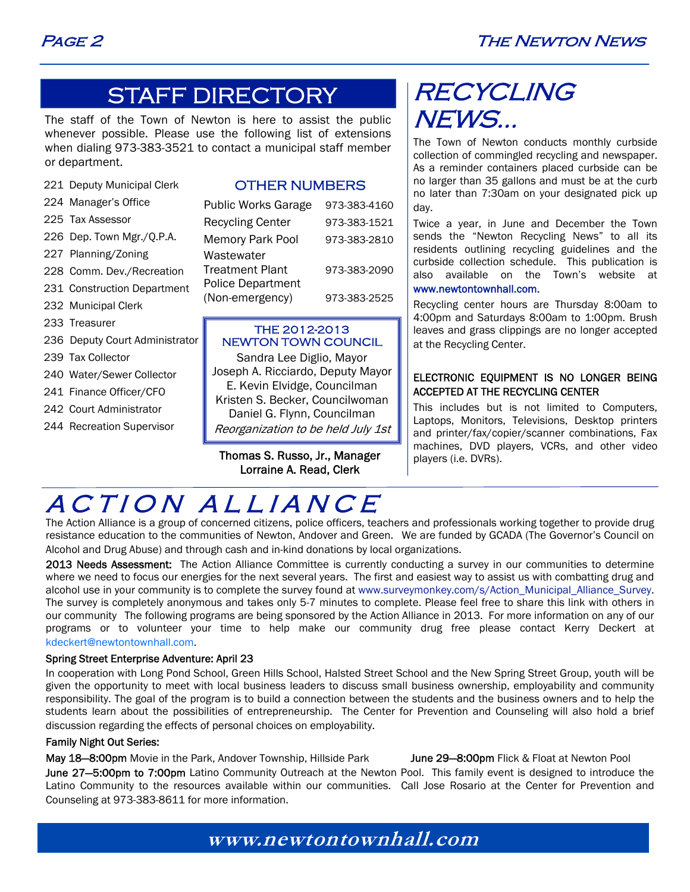### STAFF DIRECTORY

The staff of the Town of Newton is here to assist the public whenever possible. Please use the following list of extensions when dialing 973-383-3521 to contact a municipal staff member or department.

|  |  | 221 Deputy Municipal Clerk |  |
|--|--|----------------------------|--|
|--|--|----------------------------|--|

- 224 Manager's Office
- 225 Tax Assessor
- 226 Dep. Town Mgr./Q.P.A.
- 227 Planning/Zoning
- 228 Comm. Dev./Recreation
- 231 Construction Department
- 232 Municipal Clerk
- 233 Treasurer
- 236 Deputy Court Administrator
- 239 Tax Collector
- 240 Water/Sewer Collector
- 241 Finance Officer/CFO
- 242 Court Administrator
- 244 Recreation Supervisor

#### OTHER NUMBERS

| <b>Public Works Garage</b> | 973-383-4160 |
|----------------------------|--------------|
| <b>Recycling Center</b>    | 973-383-1521 |
| <b>Memory Park Pool</b>    | 973-383-2810 |
| Wastewater                 |              |
| <b>Treatment Plant</b>     | 973-383-2090 |
| <b>Police Department</b>   |              |
| (Non-emergency)            | 973-383-2525 |

#### THE 2012-2013 NEWTON TOWN COUNCIL

Sandra Lee Diglio, Mayor Joseph A. Ricciardo, Deputy Mayor E. Kevin Elvidge, Councilman Kristen S. Becker, Councilwoman Daniel G. Flynn, Councilman Reorganization to be held July 1st

#### Thomas S. Russo, Jr., Manager Lorraine A. Read, Clerk

## RECYCLING NEWS...

The Town of Newton conducts monthly curbside collection of commingled recycling and newspaper. As a reminder containers placed curbside can be no larger than 35 gallons and must be at the curb no later than 7:30am on your designated pick up day.

Twice a year, in June and December the Town sends the "Newton Recycling News" to all its residents outlining recycling guidelines and the curbside collection schedule. This publication is also available on the Town's website at www.newtontownhall.com.

Recycling center hours are Thursday 8:00am to 4:00pm and Saturdays 8:00am to 1:00pm. Brush leaves and grass clippings are no longer accepted at the Recycling Center.

#### ELECTRONIC EQUIPMENT IS NO LONGER BEING ACCEPTED AT THE RECYCLING CENTER

This includes but is not limited to Computers, Laptops, Monitors, Televisions, Desktop printers and printer/fax/copier/scanner combinations, Fax machines, DVD players, VCRs, and other video players (i.e. DVRs).

# ACTION ALLIANCE

The Action Alliance is a group of concerned citizens, police officers, teachers and professionals working together to provide drug resistance education to the communities of Newton, Andover and Green. We are funded by GCADA (The Governor's Council on Alcohol and Drug Abuse) and through cash and in-kind donations by local organizations.

2013 Needs Assessment: The Action Alliance Committee is currently conducting a survey in our communities to determine where we need to focus our energies for the next several years. The first and easiest way to assist us with combatting drug and alcohol use in your community is to complete the survey found at www.surveymonkey.com/s/Action\_Municipal\_Alliance\_Survey. The survey is completely anonymous and takes only 5-7 minutes to complete. Please feel free to share this link with others in our community The following programs are being sponsored by the Action Alliance in 2013. For more information on any of our programs or to volunteer your time to help make our community drug free please contact Kerry Deckert at kdeckert@newtontownhall.com.

#### Spring Street Enterprise Adventure: April 23

In cooperation with Long Pond School, Green Hills School, Halsted Street School and the New Spring Street Group, youth will be given the opportunity to meet with local business leaders to discuss small business ownership, employability and community responsibility. The goal of the program is to build a connection between the students and the business owners and to help the students learn about the possibilities of entrepreneurship. The Center for Prevention and Counseling will also hold a brief discussion regarding the effects of personal choices on employability.

#### Family Night Out Series:

May 18-8:00pm Movie in the Park, Andover Township, Hillside Park June 29-8:00pm Flick & Float at Newton Pool June 27-5:00pm to 7:00pm Latino Community Outreach at the Newton Pool. This family event is designed to introduce the Latino Community to the resources available within our communities. Call Jose Rosario at the Center for Prevention and Counseling at 973-383-8611 for more information.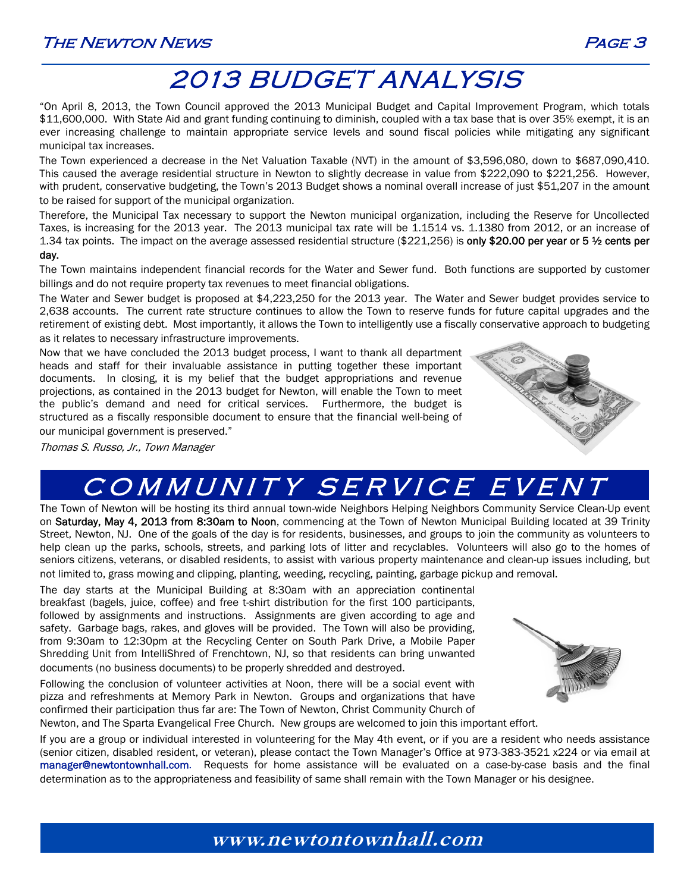

## 2013 BUDGET ANALYSIS

"On April 8, 2013, the Town Council approved the 2013 Municipal Budget and Capital Improvement Program, which totals \$11,600,000. With State Aid and grant funding continuing to diminish, coupled with a tax base that is over 35% exempt, it is an ever increasing challenge to maintain appropriate service levels and sound fiscal policies while mitigating any significant municipal tax increases.

The Town experienced a decrease in the Net Valuation Taxable (NVT) in the amount of \$3,596,080, down to \$687,090,410. This caused the average residential structure in Newton to slightly decrease in value from \$222,090 to \$221,256. However, with prudent, conservative budgeting, the Town's 2013 Budget shows a nominal overall increase of just \$51,207 in the amount to be raised for support of the municipal organization.

Therefore, the Municipal Tax necessary to support the Newton municipal organization, including the Reserve for Uncollected Taxes, is increasing for the 2013 year. The 2013 municipal tax rate will be 1.1514 vs. 1.1380 from 2012, or an increase of 1.34 tax points. The impact on the average assessed residential structure (\$221,256) is only \$20.00 per year or 5 ½ cents per

#### day.

The Town maintains independent financial records for the Water and Sewer fund. Both functions are supported by customer billings and do not require property tax revenues to meet financial obligations.

The Water and Sewer budget is proposed at \$4,223,250 for the 2013 year. The Water and Sewer budget provides service to 2,638 accounts. The current rate structure continues to allow the Town to reserve funds for future capital upgrades and the retirement of existing debt. Most importantly, it allows the Town to intelligently use a fiscally conservative approach to budgeting as it relates to necessary infrastructure improvements.

Now that we have concluded the 2013 budget process, I want to thank all department heads and staff for their invaluable assistance in putting together these important documents. In closing, it is my belief that the budget appropriations and revenue projections, as contained in the 2013 budget for Newton, will enable the Town to meet the public's demand and need for critical services. Furthermore, the budget is structured as a fiscally responsible document to ensure that the financial well-being of our municipal government is preserved."



Thomas S. Russo, Jr., Town Manager

## COMMUNITY SERVICE EVENT

The Town of Newton will be hosting its third annual town-wide Neighbors Helping Neighbors Community Service Clean-Up event on Saturday, May 4, 2013 from 8:30am to Noon, commencing at the Town of Newton Municipal Building located at 39 Trinity Street, Newton, NJ. One of the goals of the day is for residents, businesses, and groups to join the community as volunteers to help clean up the parks, schools, streets, and parking lots of litter and recyclables. Volunteers will also go to the homes of seniors citizens, veterans, or disabled residents, to assist with various property maintenance and clean-up issues including, but not limited to, grass mowing and clipping, planting, weeding, recycling, painting, garbage pickup and removal.

The day starts at the Municipal Building at 8:30am with an appreciation continental breakfast (bagels, juice, coffee) and free t-shirt distribution for the first 100 participants, followed by assignments and instructions. Assignments are given according to age and safety. Garbage bags, rakes, and gloves will be provided. The Town will also be providing, from 9:30am to 12:30pm at the Recycling Center on South Park Drive, a Mobile Paper Shredding Unit from IntelliShred of Frenchtown, NJ, so that residents can bring unwanted documents (no business documents) to be properly shredded and destroyed.

Following the conclusion of volunteer activities at Noon, there will be a social event with pizza and refreshments at Memory Park in Newton. Groups and organizations that have confirmed their participation thus far are: The Town of Newton, Christ Community Church of



Newton, and The Sparta Evangelical Free Church. New groups are welcomed to join this important effort.

If you are a group or individual interested in volunteering for the May 4th event, or if you are a resident who needs assistance (senior citizen, disabled resident, or veteran), please contact the Town Manager's Office at 973-383-3521 x224 or via email at manager@newtontownhall.com. Requests for home assistance will be evaluated on a case-by-case basis and the final determination as to the appropriateness and feasibility of same shall remain with the Town Manager or his designee.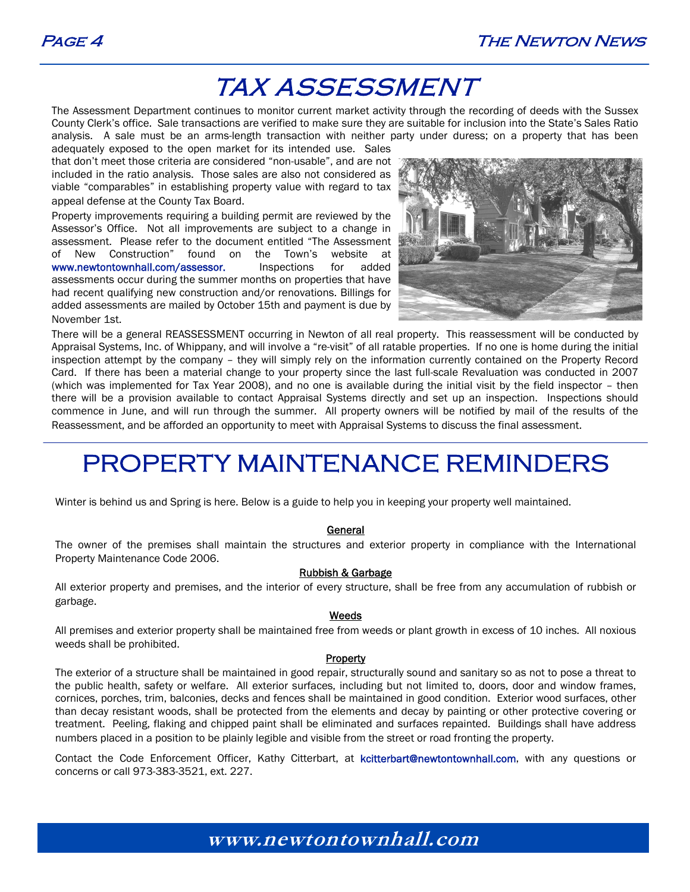### TAX ASSESSMENT

The Assessment Department continues to monitor current market activity through the recording of deeds with the Sussex County Clerk's office. Sale transactions are verified to make sure they are suitable for inclusion into the State's Sales Ratio analysis. A sale must be an arms-length transaction with neither party under duress; on a property that has been

adequately exposed to the open market for its intended use. Sales that don't meet those criteria are considered "non-usable", and are not included in the ratio analysis. Those sales are also not considered as viable "comparables" in establishing property value with regard to tax appeal defense at the County Tax Board.

Property improvements requiring a building permit are reviewed by the Assessor's Office. Not all improvements are subject to a change in assessment. Please refer to the document entitled "The Assessment of New Construction" found on the Town's website at www.newtontownhall.com/assessor. Inspections for added assessments occur during the summer months on properties that have had recent qualifying new construction and/or renovations. Billings for added assessments are mailed by October 15th and payment is due by November 1st.



There will be a general REASSESSMENT occurring in Newton of all real property. This reassessment will be conducted by Appraisal Systems, Inc. of Whippany, and will involve a "re-visit" of all ratable properties. If no one is home during the initial inspection attempt by the company – they will simply rely on the information currently contained on the Property Record Card. If there has been a material change to your property since the last full-scale Revaluation was conducted in 2007 (which was implemented for Tax Year 2008), and no one is available during the initial visit by the field inspector – then there will be a provision available to contact Appraisal Systems directly and set up an inspection. Inspections should commence in June, and will run through the summer. All property owners will be notified by mail of the results of the Reassessment, and be afforded an opportunity to meet with Appraisal Systems to discuss the final assessment.

## PROPERTY MAINTENANCE REMINDERS

Winter is behind us and Spring is here. Below is a guide to help you in keeping your property well maintained.

#### General

The owner of the premises shall maintain the structures and exterior property in compliance with the International Property Maintenance Code 2006.

#### Rubbish & Garbage

All exterior property and premises, and the interior of every structure, shall be free from any accumulation of rubbish or garbage.

#### Weeds

All premises and exterior property shall be maintained free from weeds or plant growth in excess of 10 inches. All noxious weeds shall be prohibited.

#### **Property**

The exterior of a structure shall be maintained in good repair, structurally sound and sanitary so as not to pose a threat to the public health, safety or welfare. All exterior surfaces, including but not limited to, doors, door and window frames, cornices, porches, trim, balconies, decks and fences shall be maintained in good condition. Exterior wood surfaces, other than decay resistant woods, shall be protected from the elements and decay by painting or other protective covering or treatment. Peeling, flaking and chipped paint shall be eliminated and surfaces repainted. Buildings shall have address numbers placed in a position to be plainly legible and visible from the street or road fronting the property.

Contact the Code Enforcement Officer, Kathy Citterbart, at kcitterbart@newtontownhall.com, with any questions or concerns or call 973-383-3521, ext. 227.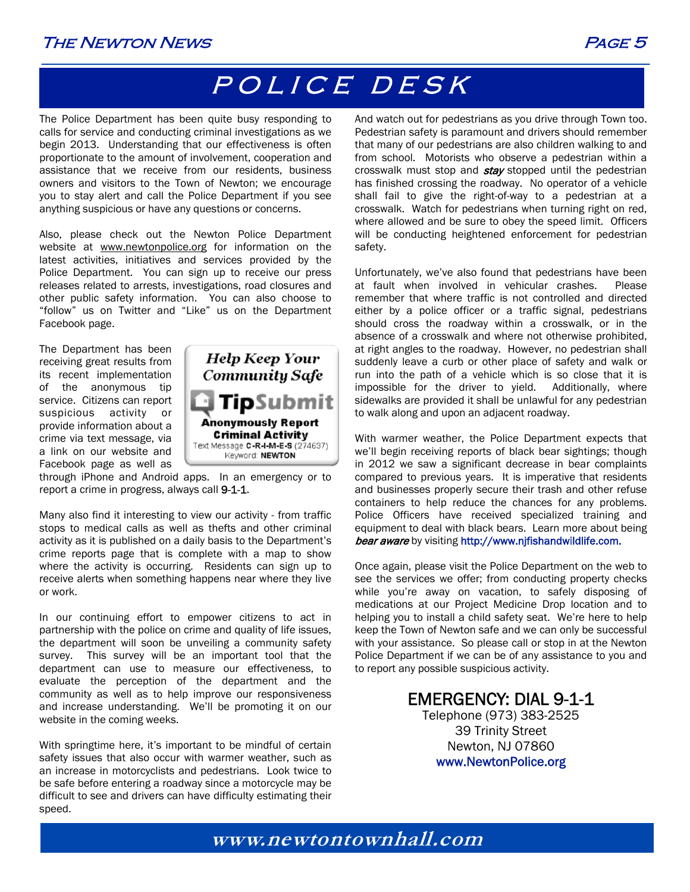### The Newton News Page 5

# POLICE DESK

The Police Department has been quite busy responding to calls for service and conducting criminal investigations as we begin 2013. Understanding that our effectiveness is often proportionate to the amount of involvement, cooperation and assistance that we receive from our residents, business owners and visitors to the Town of Newton; we encourage you to stay alert and call the Police Department if you see anything suspicious or have any questions or concerns.

Also, please check out the Newton Police Department website at www.newtonpolice.org for information on the latest activities, initiatives and services provided by the Police Department. You can sign up to receive our press releases related to arrests, investigations, road closures and other public safety information. You can also choose to "follow" us on Twitter and "Like" us on the Department Facebook page.

The Department has been receiving great results from its recent implementation of the anonymous tip service. Citizens can report suspicious activity or provide information about a crime via text message, via a link on our website and Facebook page as well as



through iPhone and Android apps. In an emergency or to report a crime in progress, always call 9-1-1.

Many also find it interesting to view our activity - from traffic stops to medical calls as well as thefts and other criminal activity as it is published on a daily basis to the Department's crime reports page that is complete with a map to show where the activity is occurring. Residents can sign up to receive alerts when something happens near where they live or work.

In our continuing effort to empower citizens to act in partnership with the police on crime and quality of life issues, the department will soon be unveiling a community safety survey. This survey will be an important tool that the department can use to measure our effectiveness, to evaluate the perception of the department and the community as well as to help improve our responsiveness and increase understanding. We'll be promoting it on our website in the coming weeks.

With springtime here, it's important to be mindful of certain safety issues that also occur with warmer weather, such as an increase in motorcyclists and pedestrians. Look twice to be safe before entering a roadway since a motorcycle may be difficult to see and drivers can have difficulty estimating their speed.

And watch out for pedestrians as you drive through Town too. Pedestrian safety is paramount and drivers should remember that many of our pedestrians are also children walking to and from school. Motorists who observe a pedestrian within a crosswalk must stop and **stay** stopped until the pedestrian has finished crossing the roadway. No operator of a vehicle shall fail to give the right-of-way to a pedestrian at a crosswalk. Watch for pedestrians when turning right on red, where allowed and be sure to obey the speed limit. Officers will be conducting heightened enforcement for pedestrian safety.

Unfortunately, we've also found that pedestrians have been at fault when involved in vehicular crashes. Please remember that where traffic is not controlled and directed either by a police officer or a traffic signal, pedestrians should cross the roadway within a crosswalk, or in the absence of a crosswalk and where not otherwise prohibited, at right angles to the roadway. However, no pedestrian shall suddenly leave a curb or other place of safety and walk or run into the path of a vehicle which is so close that it is impossible for the driver to yield. Additionally, where sidewalks are provided it shall be unlawful for any pedestrian to walk along and upon an adjacent roadway.

With warmer weather, the Police Department expects that we'll begin receiving reports of black bear sightings; though in 2012 we saw a significant decrease in bear complaints compared to previous years. It is imperative that residents and businesses properly secure their trash and other refuse containers to help reduce the chances for any problems. Police Officers have received specialized training and equipment to deal with black bears. Learn more about being bear aware by visiting http://www.nifishandwildlife.com.

Once again, please visit the Police Department on the web to see the services we offer; from conducting property checks while you're away on vacation, to safely disposing of medications at our Project Medicine Drop location and to helping you to install a child safety seat. We're here to help keep the Town of Newton safe and we can only be successful with your assistance. So please call or stop in at the Newton Police Department if we can be of any assistance to you and to report any possible suspicious activity.

### EMERGENCY: DIAL 9-1-1

Telephone (973) 383-2525 39 Trinity Street Newton, NJ 07860 www.NewtonPolice.org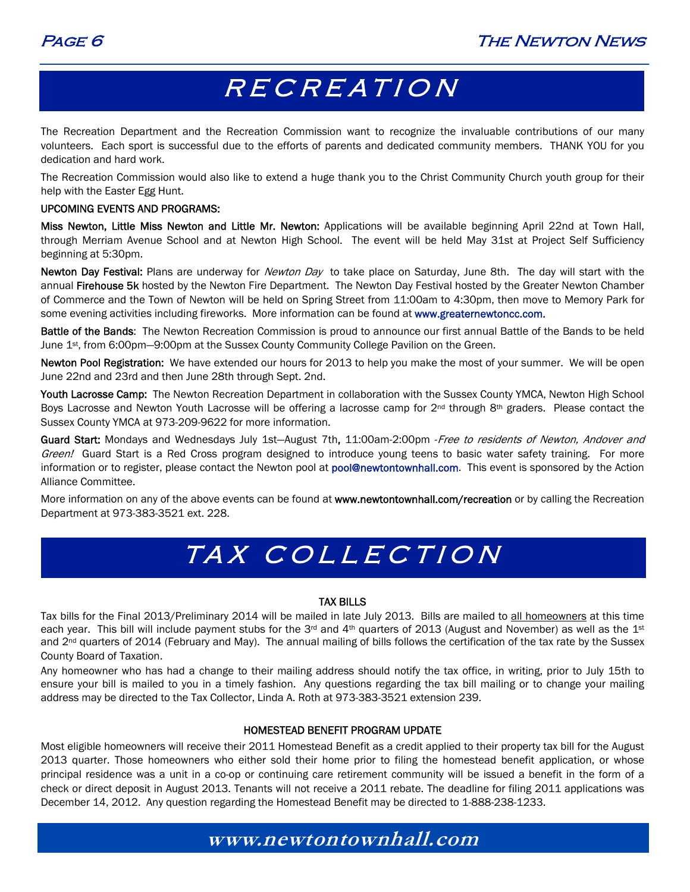## RECREATION

The Recreation Department and the Recreation Commission want to recognize the invaluable contributions of our many volunteers. Each sport is successful due to the efforts of parents and dedicated community members. THANK YOU for you dedication and hard work.

The Recreation Commission would also like to extend a huge thank you to the Christ Community Church youth group for their help with the Easter Egg Hunt.

#### UPCOMING EVENTS AND PROGRAMS:

Miss Newton, Little Miss Newton and Little Mr. Newton: Applications will be available beginning April 22nd at Town Hall, through Merriam Avenue School and at Newton High School. The event will be held May 31st at Project Self Sufficiency beginning at 5:30pm.

Newton Day Festival: Plans are underway for Newton Day to take place on Saturday, June 8th. The day will start with the annual Firehouse 5k hosted by the Newton Fire Department. The Newton Day Festival hosted by the Greater Newton Chamber of Commerce and the Town of Newton will be held on Spring Street from 11:00am to 4:30pm, then move to Memory Park for some evening activities including fireworks. More information can be found at www.greaternewtoncc.com.

Battle of the Bands: The Newton Recreation Commission is proud to announce our first annual Battle of the Bands to be held June 1st, from 6:00pm—9:00pm at the Sussex County Community College Pavilion on the Green.

Newton Pool Registration: We have extended our hours for 2013 to help you make the most of your summer. We will be open June 22nd and 23rd and then June 28th through Sept. 2nd.

Youth Lacrosse Camp: The Newton Recreation Department in collaboration with the Sussex County YMCA, Newton High School Boys Lacrosse and Newton Youth Lacrosse will be offering a lacrosse camp for 2<sup>nd</sup> through 8th graders. Please contact the Sussex County YMCA at 973-209-9622 for more information.

Guard Start: Mondays and Wednesdays July 1st-August 7th, 11:00am-2:00pm - Free to residents of Newton, Andover and Green! Guard Start is a Red Cross program designed to introduce young teens to basic water safety training. For more information or to register, please contact the Newton pool at pool@newtontownhall.com. This event is sponsored by the Action Alliance Committee.

More information on any of the above events can be found at www.newtontownhall.com/recreation or by calling the Recreation Department at 973-383-3521 ext. 228.

# TAX COLLECTION

#### TAX BILLS

Tax bills for the Final 2013/Preliminary 2014 will be mailed in late July 2013. Bills are mailed to all homeowners at this time each year. This bill will include payment stubs for the 3<sup>rd</sup> and 4<sup>th</sup> quarters of 2013 (August and November) as well as the 1<sup>st</sup> and 2<sup>nd</sup> quarters of 2014 (February and May). The annual mailing of bills follows the certification of the tax rate by the Sussex County Board of Taxation.

Any homeowner who has had a change to their mailing address should notify the tax office, in writing, prior to July 15th to ensure your bill is mailed to you in a timely fashion. Any questions regarding the tax bill mailing or to change your mailing address may be directed to the Tax Collector, Linda A. Roth at 973-383-3521 extension 239.

#### HOMESTEAD BENEFIT PROGRAM UPDATE

Most eligible homeowners will receive their 2011 Homestead Benefit as a credit applied to their property tax bill for the August 2013 quarter. Those homeowners who either sold their home prior to filing the homestead benefit application, or whose principal residence was a unit in a co-op or continuing care retirement community will be issued a benefit in the form of a check or direct deposit in August 2013. Tenants will not receive a 2011 rebate. The deadline for filing 2011 applications was December 14, 2012. Any question regarding the Homestead Benefit may be directed to 1-888-238-1233.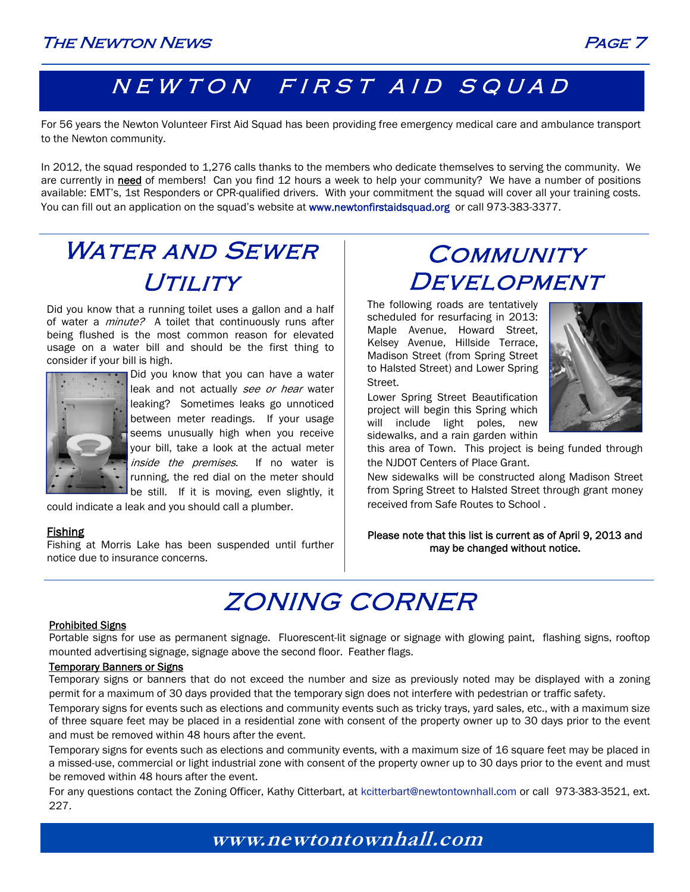### NEWTON FIRST AID SQUAD

For 56 years the Newton Volunteer First Aid Squad has been providing free emergency medical care and ambulance transport to the Newton community.

In 2012, the squad responded to 1,276 calls thanks to the members who dedicate themselves to serving the community. We are currently in need of members! Can you find 12 hours a week to help your community? We have a number of positions available: EMT's, 1st Responders or CPR-qualified drivers. With your commitment the squad will cover all your training costs. You can fill out an application on the squad's website at www.newtonfirstaidsquad.org or call 973-383-3377.

# WATER AND SEWER UTILITY

Did you know that a running toilet uses a gallon and a half of water a *minute?* A toilet that continuously runs after being flushed is the most common reason for elevated usage on a water bill and should be the first thing to consider if your bill is high.



Did you know that you can have a water leak and not actually see or hear water leaking? Sometimes leaks go unnoticed between meter readings. If your usage seems unusually high when you receive your bill, take a look at the actual meter inside the premises. If no water is running, the red dial on the meter should be still. If it is moving, even slightly, it

could indicate a leak and you should call a plumber.

#### **Fishing**

Fishing at Morris Lake has been suspended until further notice due to insurance concerns.

### **COMMUNITY DEVELOPMENT**

The following roads are tentatively scheduled for resurfacing in 2013: Maple Avenue, Howard Street, Kelsey Avenue, Hillside Terrace, Madison Street (from Spring Street to Halsted Street) and Lower Spring Street.

Lower Spring Street Beautification project will begin this Spring which will include light poles, new sidewalks, and a rain garden within



this area of Town. This project is being funded through the NJDOT Centers of Place Grant.

New sidewalks will be constructed along Madison Street from Spring Street to Halsted Street through grant money received from Safe Routes to School .

Please note that this list is current as of April 9, 2013 and may be changed without notice.

# ZONING CORNER

#### Prohibited Signs

Portable signs for use as permanent signage. Fluorescent-lit signage or signage with glowing paint, flashing signs, rooftop mounted advertising signage, signage above the second floor. Feather flags.

#### Temporary Banners or Signs

Temporary signs or banners that do not exceed the number and size as previously noted may be displayed with a zoning permit for a maximum of 30 days provided that the temporary sign does not interfere with pedestrian or traffic safety.

Temporary signs for events such as elections and community events such as tricky trays, yard sales, etc., with a maximum size of three square feet may be placed in a residential zone with consent of the property owner up to 30 days prior to the event and must be removed within 48 hours after the event.

Temporary signs for events such as elections and community events, with a maximum size of 16 square feet may be placed in a missed-use, commercial or light industrial zone with consent of the property owner up to 30 days prior to the event and must be removed within 48 hours after the event.

For any questions contact the Zoning Officer, Kathy Citterbart, at kcitterbart@newtontownhall.com or call 973-383-3521, ext. 227.